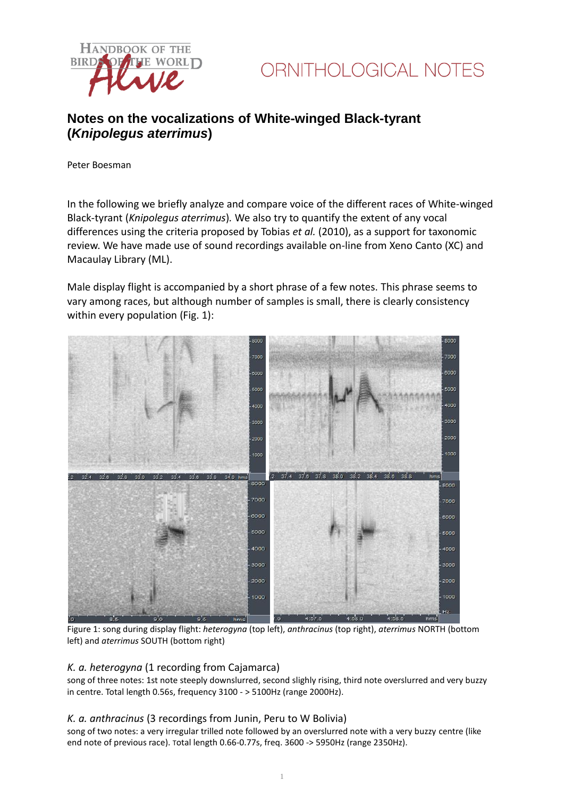



# **Notes on the vocalizations of White-winged Black-tyrant (***Knipolegus aterrimus***)**

Peter Boesman

In the following we briefly analyze and compare voice of the different races of White-winged Black-tyrant (*Knipolegus aterrimus*)*.* We also try to quantify the extent of any vocal differences using the criteria proposed by Tobias *et al.* (2010), as a support for taxonomic review. We have made use of sound recordings available on-line from Xeno Canto (XC) and Macaulay Library (ML).

Male display flight is accompanied by a short phrase of a few notes. This phrase seems to vary among races, but although number of samples is small, there is clearly consistency within every population (Fig. 1):



Figure 1: song during display flight: *heterogyna* (top left), *anthracinus* (top right), *aterrimus* NORTH (bottom left) and *aterrimus* SOUTH (bottom right)

### *K. a. heterogyna* (1 recording from Cajamarca)

song of three notes: 1st note steeply downslurred, second slighly rising, third note overslurred and very buzzy in centre. Total length 0.56s, frequency 3100 - > 5100Hz (range 2000Hz).

# *K. a. anthracinus* (3 recordings from Junin, Peru to W Bolivia)

song of two notes: a very irregular trilled note followed by an overslurred note with a very buzzy centre (like end note of previous race). Total length 0.66-0.77s, freq. 3600 -> 5950Hz (range 2350Hz).